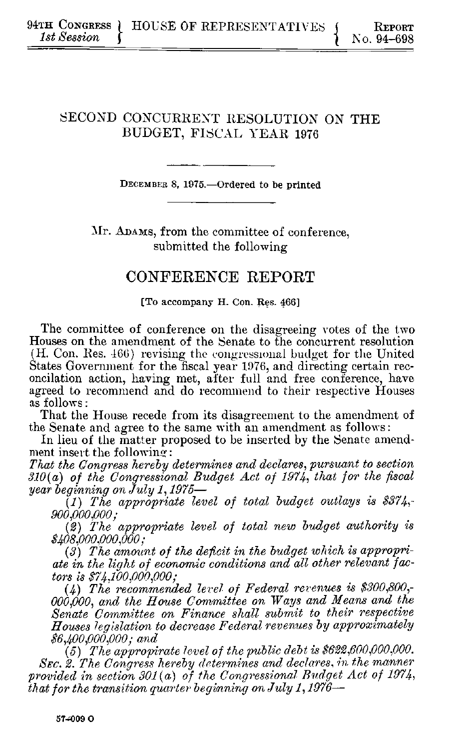# SECOND CONCURRENT RESOLUTION ON THE BUDGET, FISCAL YEAR <sup>1976</sup>

**DECEMBER 8, 1975.-Ordered to be printed**

Mr. **ADAMS,** from the committee of conference, submitted the following

# **CONFERENCE** REPORT

[To accompany H. Con. Res. 466]

The committee of conference on the disagreeing votes of the two Houses on the amendment of the Senate to the concurrent resolution (H. Con. Res. 466) revising the congressional budget for the United States Government for the fiscal year 1976, and directing certain rec- oncilation action, having met, after full and free conference, have oncilation action, having met, after full and free conference, have agreed to recommend and do recommend to their respective Houses as follows:

That the House recede from its disagreement to the amendment of the Senate and agree to the same with an amendment as follows:

In lieu of the matter proposed to be inserted by the Senate amendment insert the following :

*That the Congress hereby determines and declares, pursuant to section 310(a) of the Congressional Budget Act of 1974, that for the fiscal year beginning on July 1, 1975-*

*(1) The appropriate level of total budget outlays is \$374,- 900,000,000;*

*(2) The appropriate level of total new budget authority is \$408,000,000,000;*

*(3) The amount of the deficit in the budget which is appropriate in the light of economic conditions and all other relevant factors is \$74,100,000,000;*

*(4) The recommended level of Federal revenues is \$300,800,- 000,000, and the Hose Committee on Ways and Means and the Senate Committee on Finance shall submit to their respective Houses legislation to decrease Federal revenues by approximately \$6,400,000,000; and*

*(5) The appropirate level of the public debt is \$622,600,000,000.* SEC. 2. The Congress hereby determines and declares, in the manner provided in section 301(a) of the Congressional Budget Act of 1974, *that for the transition quarter beginning on July 1,1976-*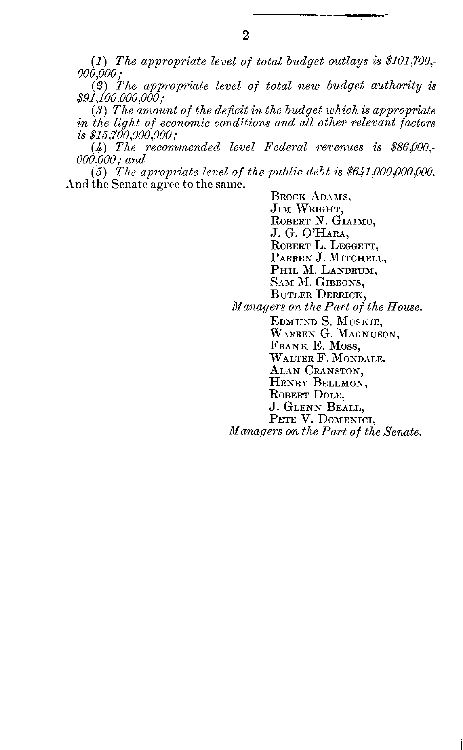*(1) The appropriate level of total budget outlays is* \$101,700,- *000,000;*

*(2) The appropriate level of total new budget authority is \$91,100,000,000;*

*(3) The amount of the deficit in the budget which is appropriate in the light of economic conditions and all other relevant factors is \$15,700,000,000;*

*(4) The recommended level Federal revenues is \$86,000,- 000,000; and*

*(5) The appropriate level of the public debt is \$641,000,000,000.* And the Senate agree to the same.

BROCK **ADAM3S,**  $J<sub>IM</sub>$  Wright, ROBERT N. GIAIMO, J. G. O'HARA, ROBERT L. **LEGGETr,** PARREN J. MITCHELL, PHIL **M. LANDRUM, SAM:** *A.* **GIBBONS, BUTLER DERRICK,** *Managers on the Part of the House.* **EDMUND** S. MUSKIE, WARREN **G.** MAGNUSON, **FRANi- E.** Moss, WALTER F. MONDALE, ALAN CRANSTON, HENRY **BELLMON, ROBERT DOLE,** J. **GLENN** BEALL, **PETE** V. **DoMENici,** *Managers on the Part of the Senate.*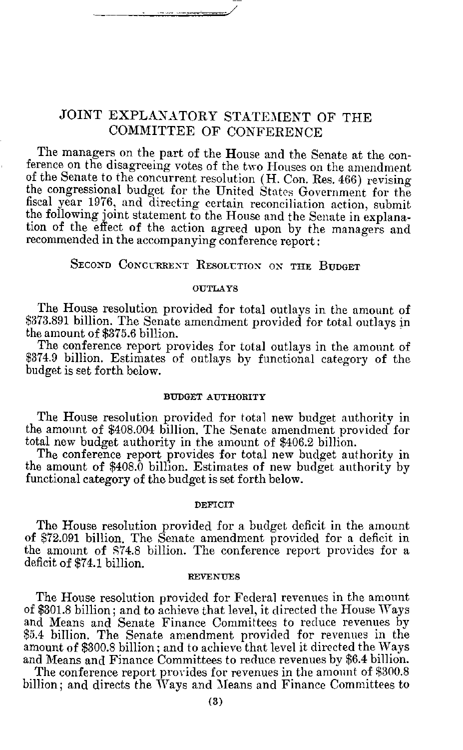# JOINT EXPLANATORY STATEMENT OF THE COMMITTEE OF CONFERENCE

The managers on the part of the House and the Senate at the con-<br>ference on the disagreeing votes of the two Houses on the amendment of the Senate to the concurrent resolution (H. Con. Res. 466) revising the congressional budget for the United States Government for the fiscal year 1976, and directing certain reconciliation action, submit the following joint statement to the House and the Senate in explana- tion of the effect of the action agreed upon by the managers and recommended in the accompanying conference report:

## SECOND CONCURRENT RESOLUTION ON THE BUDGET

#### **OUTLAYS**

The House resolution provided for total outlays in the amount of **\$373.891** billion. The Senate amendment provided for total outlays in the amount of \$375.6 billion.

The conference report provides for total outlays in the amount of \$374.9 billion. Estimates of outlays by functional category of the budget is set forth below.

#### **BUDGET AUTHORITY**

The House resolution provided for total new budget authority in the amount of \$408.004 billion. The Senate amendment provided for total new budget authority in the amount of \$406.2 billion.

The conference report provides for total new budget authority in the amount of \$408.0 billion. Estimates of new budget authority by functional category of the budget is set forth below.

#### **DEFICIT**

The House resolution provided for a budget deficit in the amount of \$72.091 billion. The Senate amendment provided for a deficit in the amount of S74.8 billion. The conference report provides for a deficit of \$74.1 billion.

#### **REVENUES**

The House resolution provided for Federal revenues in the amount of \$301.8 billion; and to achieve that level, it directed the House Ways and Means and Senate Finance Committees to reduce revenues by \$5.4 billion. The Senate amendment provided for revenues in the amount of \$300.8 billion; and to achieve that level it directed the Ways and Means and Finance Committees to reduce revenues by \$6.4 billion.

The conference report provides for revenues in the amount **of** \$300.8 billion; and directs the Ways and Means and Finance Committees to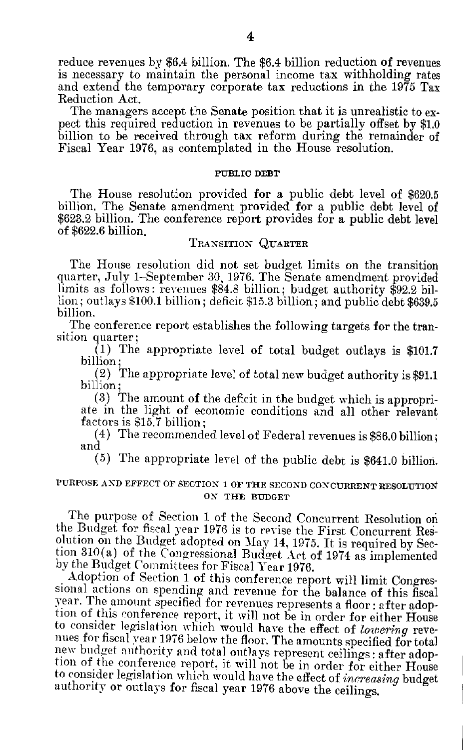reduce revenues by \$6.4 billion. The \$6.4 billion reduction of revenues is necessary to maintain the personal income tax withholding rates and extend the temporary corporate tax reductions in the 1975 Tax Reduction Act.

The managers accept the Senate position that it is unrealistic to ex- pect this required reduction in revenues to be partially offset by \$1.0 billion to be received through tax reform during the remainder of Fiscal Year 1976, as contemplated in the House resolution.

#### PUBLIC DEBT

The House resolution provided for a public debt level of \$620.5 billion. The Senate amendment provided for a public debt level of \$623.2 billion. The conference report provides for a public debt level of \$622.6 billion.

#### TRANSITION QUARTER

The House resolution did not set budget limits on the transition quarter, July 1-September **30,** 1976. The Senate amendment provided limits as follows: revenues \$84.8 billion; budget authority \$92.2 bil- $\lim$ ; outlays \$100.1 billion; deficit \$15.3 billion; and public debt \$639.5 billion.

The conference report establishes the following targets for the tran-<br>sition quarter;

(1) The appropriate level of total budget outlays is \$101.7 billion;

(2) The appropriate level of total new budget authority is \$91.1 billion;

(3) The amount of the deficit in the budget which is appropri- ate in the light of economic conditions and all other relevant factors is \$15.7 billion;

(4) The recommended level of Federal revenues is \$86.0 billion; and

(5) The appropriate level of the public debt is \$641.0 billion.

### PURPOSE **A'D** EFFECT **OF** SECTION **1** OF THE SECOND CONCURRENT RESOLUTIOl ON THE **BUDGET**

The purpose of Section **1** of the Second Concurrent Resolution on the Budget for fiscal year 1976 is to revise the First Concurrent Reeolution on the Budget adopted on May 14, 1975. It is required by Section 310(a) of the Congressional Budget Act of 1974 as implemented by the Budget Committees for Fiscal Year 1976.

Adoption of Section 1 of this conference report will limit Congressional actions on spending and revenue for the balance of this fiscal year. The amount specified for revenues represents a floor: after adoption of this conference report, it will not be in order for either House<br>to consider legislation which would have the effect of *lowering* reve-<br>nues for fiscal year 1976 below the floor. The amounts specified for total<br>n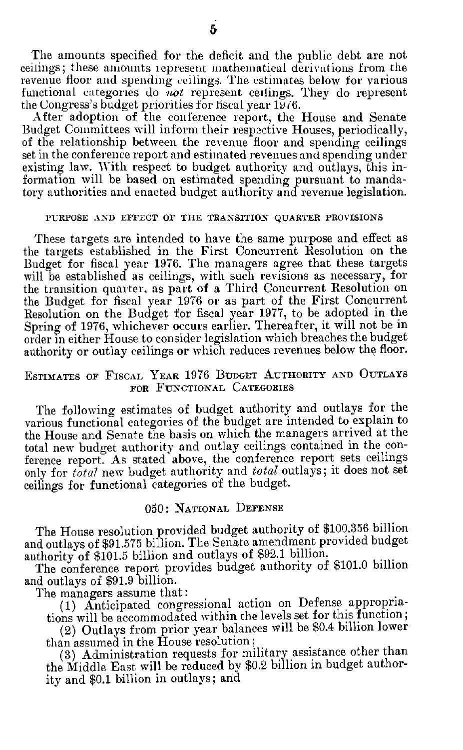The amounts specified for the deficit and the public debt are not ceilings; these amounts represent mathematical derivations from the revenue floor and spending ceilings. The estimates below for various functional categories do not represent ceilings. They do represent the Congress's budget priorities for fiscal year 1976.

After adoption of the conference report, the House and Senate Budget Committees will inform their respective Houses, periodically, of the relationship between the revenue floor and spending ceilings set in the conference report and estimated revenues and spending under existing law. With respect to budget authority and outlays, this information will be based on estimated spending pursuant to mandatory authorities and enacted budget authority and revenue legislation.

# **PURPOSE** AND EFFECT OF **THE** TRANSITION QUARTER PROVISIONS

These targets are intended to have the same purpose and effect as the targets established in the First Concurrent Resolution on the Budget for fiscal year 1976. The managers agree that these targets will be established as ceilings, with such revisions as necessary, for the transition quarter, as part of a Third Concurrent Resolution on the Budget for fiscal year 1976 or as part of the First Concurrent Resolution on the Budget for fiscal year 1977, to be adopted in the Spring of 1976, whichever occurs earlier. Thereafter, it will not be in order **In** either House to consider legislation which breaches the budget authority or outlay ceilings or which reduces revenues below the floor.

## **ESTIMATES** OF FISCAL YEAR 1976 **BUDGET** AUTHORITY **AND OUTLAYS** FOR FUNCTIONAL CATEGORIES

The following estimates of budget authority and outlays for the various functional categories of the budget are intended to explain to the House and Senate the basis on which the managers arrived at the total new budget authority and outlay ceilings contained in the conference report. As stated above, the conference report sets ceilings only for *total* new budget authority and total outlays; it does not set ceilings for functional categories of the budget.

# 050: NATIONAL DEFENSE

The House resolution provided budget authority of \$100.356 billion and outlays of \$91.575 billion. The Senate amendment provided budget authority of \$101.5 billion and outlays of \$92.1 billion.

The conference report provides budget authority of \$101.0 billion and outlays of \$91.9 billion.

The managers assume that:

(1) Anticipated congressional action on Defense appropriations will be accommodated within the levels set for this function;

(2) Outlays from prior year balances will be \$0.4 billion lower than assumed in the House resolution;

(3) Administration requests for military assistance other than the Middle East will be reduced by \$0.2 billion in budget authority and \$0.1 billion in outlays; and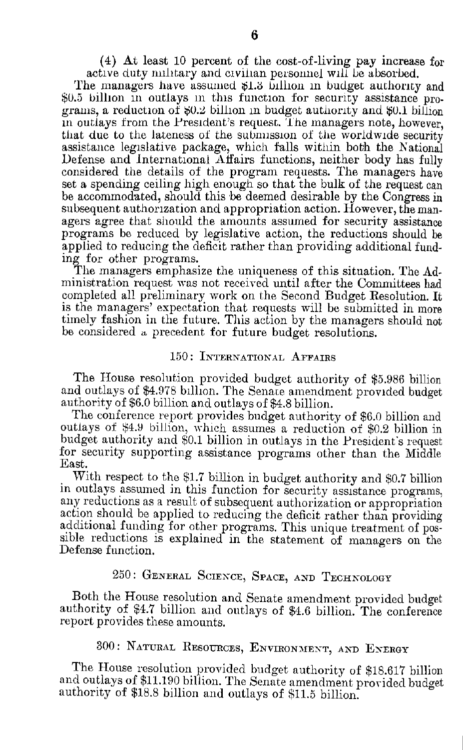(4) At least 10 percent of the cost-of-living pay increase for active duty military and civilian personnel will be absorbed.

The managers have assumed **\$1.6** billion in budget authority and \$0.5 billion in outlays in this function for security assistance programs, a reduction of \$0.2 billion in budget authority and \$0.1 billion in outlays from the President's request. The managers note, however, that due to the lateness of the submission of the worldwide security assistance legislative package, which falls within both the National Defense and International Affairs functions, neither body has fully considered the details of the program requests. The managers have set a spending ceiling high enough so that the bulk of the request can be accommodated, should this be deemed desirable by the Congress in subsequent authorization and appropriation action. However, the man-<br>agers agree that should the amounts assumed for security assistance programs be reduced by legislative action, the reductions should be applied to reducing the deficit rather than providing additional funding for other programs.

The managers emphasize the uniqueness of this situation. The Administration request was not received until after the Committees had completed all preliminary work on the Second Budget Resolution. It timely fashion in the future. This action by the managers should not be considered a precedent for future budget resolutions.

## 150: INTERNATIONAL AFFAIRS

The House resolution provided budget authority of \$5.986 billion and outlays of \$4.978 billion. The Senate amendment provided budget authority of **\$6.0** billion and outlays of \$4.8 billion.

The conference report provides budget authority of \$6.0 billion and outlays of \$4.9 billion, which assumes a reduction of \$0.2 billion in budget authority and \$0.1 billion in outlays in the President's request for security supporting assistance programs other than the Middle East.

With respect to the \$1.7 billion in budget authority and \$0.7 billion in outlays assumed in this function for security assistance programs, any reductions as a result of subsequent authorization or appropriation action should be applied to reducing the deficit rather than providing additional funding for other programs. This unique treatment of **pos**sible reductions is explained in the statement of managers on the Defense function.

# 250: GENERAL **SCIENCE,** SPACE, **AND TECHN-OLOGY**

Both the House resolution and Senate amendment provided budget authority of \$4.7 billion and outlays of \$4.6 billion. The conference report provides these amounts.

# 300: NATURAL REsouncEs, ENVIRONIENT-, **AND** ENERGY

The House resolution provided budget authority of \$18.617 billion and outlays of \$11.190 billion. The Senate amendment provided budget authority of \$18.8 billion and outlays of \$11.5 billion.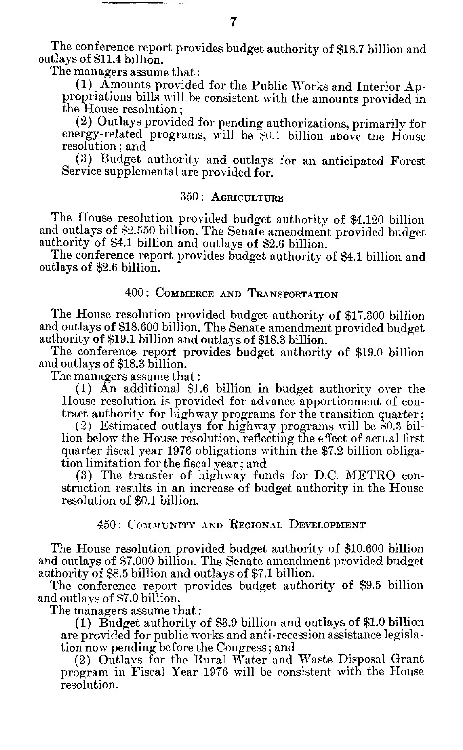The conference report provides budget authority of \$18.7 billion and outlays of \$11.4 billion.

The managers assume that:

(1) Amounts provided for the Public Works and Interior **Ap**propriations bills will be consistent with the amounts provided in the House resolution;

(2) Outlays provided for pending authorizations, primarily for energy-related programs, will be **0.1** billion above **tie** House resolution; and

(3) Budget authority and outlays for an anticipated Forest Service supplemental are provided for.

## 350: **AGRICULTURE**

The House resolution provided budget authority of \$4.120 billion and outlays of \$2.550 billion. The Senate amendment provided budget authority of \$4.1 billion and outlays of \$2.6 billion.

The conference report provides budget authority of \$4.1 billion and outlays of \$2.6 billion.

# 400: COMMERCE **AND** TRANSPORTATION

The House resolution provided budget authority of \$17.300 billion and outlays of \$18.600 billion. The Senate amendment provided budget authority of \$19.1 billion and outlays of \$18.3 billion.

The conference report provides budget authority of \$19.0 billion and outlays of \$18.3 billion.

The managers assume that:

(1) An additional \$1.6 billion in budget authority over the tract authority for highway programs for the transition quarter; (2) Estimated outlays for highway programs will be \$0.3 bil-

lion below the House resolution, reflecting the effect of actual first quarter fiscal year 1976 obligations within the \$7.2 billion obliga- tion limitation for the fiscal year; and

(3) The transfer of highway funds for D.C. METRO con- struction results in an increase of budget authority in the House resolution of \$0.1 billion.

# 450: COM31v aNITY **AND REGIONAL DEVELOPMENT**

The House resolution provided budget authority of \$10.600 billion and outlays of \$7.000 billion. The Senate amendment provided budget authority of \$8.5 billion and outlays of \$7.1 billion.

The conference report provides budget authority of \$9.5 billion and outlays of \$7.0 billion.

The managers assume that:

(1) Budget authority of \$3.9 billion and outlays of \$1.0 billion are provided for public'works and anti-recession assistance legisla- tion now pending before the Congress; and

(2) Outlays for the Rural Water and Waste Disposal Grant program in Fiscal Year 1976 will be consistent with the House resolution.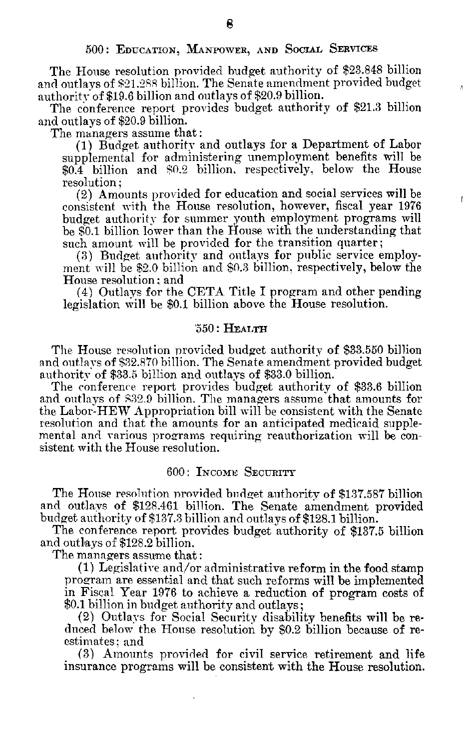The House resolution provided budget authority of \$23.848 billion and outlays of \$21.288 billion. The Senate amendment provided budget authority of \$19.6 billion and outlays of \$20.9 billion.

The conference report provides budget authority of \$21.3 billion and outlays of \$20.9 billion.

The managers assume that:

(1) Budget authority and outlays for a Department of Labor supplemental for administering unemployment benefits will be \$0.4 billion and \$0.2 billion, respectively, below the House resolution ;

(2) Amounts provided for education and social services will be consistent with the House resolution, however, fiscal year 1976 budget authority for summer youth employment programs will be \$0.1 billion lower than the House with the understanding that such amount will be provided for the transition quarter;

(3) Budget authority and outlays for public service employment will be \$2.0 billion and \$0.3 billion, respectively, below the House resolution: and

(4) Outlays for the CETA Title I program and other pending legislation will be \$0.1 billion above the House resolution.

#### '550: HEALTH

The House resolution provided budget authority of \$33.550 billion and outlays of \$32.870 billion. The Senate amendment provided budget authority of \$33.5 billion and outlays of \$33.0 billion.

The conference report provides budget authority of \$33.6 billion and outlays of \$32.9 billion. The managers assume that amounts for the Labor-HEW Appropriation bill will be consistent with the Senate resolution and that the amounts for an anticipated medicaid supplemental and various programs requiring reauthorization will be consistent with the House resolution.

# 600: **INCOME** SECURITY

The House resolution provided budget authority of \$137.587 billion and outlays of \$128.461 billion. The Senate amendment provided budget authority of \$137.3 billion and outlays of \$128.1 billion.

The conference report provides budget authority of \$137.5 billion and outlays of \$128.2 billion.

The managers assume that:

(1) Legislative and/or administrative reform in the food stamp program are essential and that such reforms will be implemented in Fiscal Year 1976 to achieve a reduction of program costs of \$0.1 billion in budget authority and outlays;

(2) Outlays for Social Security disability benefits will be reduced below the House resolution by \$0.2 billion because of reestimates; and

(3) Amounts provided for civil service retirement and life insurance programs will be consistent with the House resolution.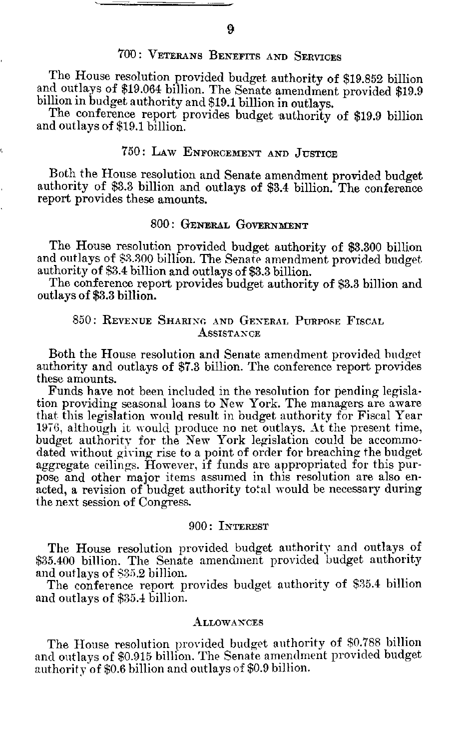# **700:** VETERANS BENEFITS **AND** SERVICES

The House resolution provided budget authority of \$19.852 billion and outlays of \$19.064 billion. The Senate amendment provided \$19.9 billion in budget authority and \$19.1 billion in outlays.

The conference report provides budget authority of \$19.9 billion and outlays of \$19.1 billion.

# 750: LAW ENFORCEMENT AND JUSTICE

Both the House resolution and Senate amendment provided budget authority of \$3.3 billion and outlays of \$3.4 billion. The conference report provides these amounts.

## 800: **GENERAL** GOVERNMENT

The House resolution provided budget authority of **\$3.300** billion and outlays of \$3.300 billion. The Senate amendment provided budget authority of \$3.4 billion and outlays of \$3.3 billion.

The conference report provides budget authority of \$3.3 billion and outlays of \$3.3 billion.

### 850: REVENUE SHARING AND GENERAL PURPOSE FISCAL **ASSISTANCE**

Both the House resolution and Senate amendment provided budget authority and outlays of \$7.3 billion. The conference report provides these amounts. Funds have not been included in the resolution for pending legisla-

tion providing seasonal loans to New York. The managers are aware that this legislation would result in budget authority for Fiscal Year 1976, although it would produce no net outlays. At the present time, budget authority for the New York legislation could be accommo- dated without giving rise to a point of order for breaching the budget aggregate ceilings. However, if funds are appropriated for this purpose and other major items assumed in this resolution are also en- acted, a revision of budget authority total would be necessary during the next session of Congress.

#### 900: INTEREST

The House resolution provided budget authority and outlays of \$35.400 billion. The Senate amendment provided budget authority and outlays of \$35.2 billion.

The conference report provides budget authority of \$35.4 billion and outlays of \$35.4 billion.

#### **ALLOWANCES**

The House resolution provided budget authority of \$0.788 billion and outlays of \$0.915 billion. The Senate amendment provided budget authority of \$0.6 billion and outlays of \$0.9 billion.

9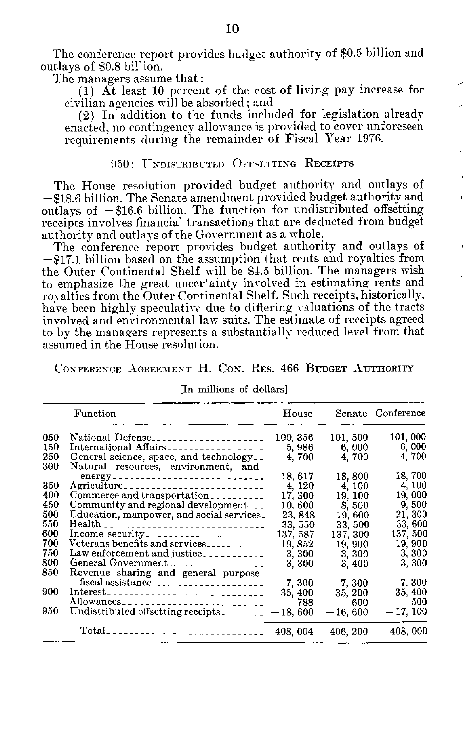The conference report provides budget authority of \$0.5 billion and outlays of \$0.8 billion.

The managers assume that:

(1) At least 10 percent of the cost-of-living pay increase for civilian agencies will be absorbed; and

(2) In addition to the funds included for legislation already enacted, no contingency allowance is provided to cover unforeseen requirements during the remainder of Fiscal Year 1976.

#### 950: UNDISTRIBUTED OFFSETTING RECEIPTS

The House resolution provided budget authority and outlays of -\$18.6 billion. The Senate amendment provided budget authority and outlays of  $- $16.6$  billion. The function for undistributed offsetting receipts involves financial transactions that are deducted from budget authority and outlays of the Government as a whole.

The conference report provides budget authority and outlays of -\$17.1 billion based on the assumption that rents and royalties from the Outer Continental Shelf will be \$4.5 billion. The managers wish to emphasize the great uncertainty involved in estimating rents and royalties from the Outer Continental Shelf. Such receipts, historically. have been highly speculative due to differing valuations of the tracts involved and environmental law suits. The estimate of receipts agreed to by the managers represents a substantially reduced level from that assumed in the House resolution.

CONFERENCE AGREEMENT **H. CON. RES. 466 BUDGET AUTHORITY** 

|     | Function                                        | House    |            | Senate Conference |
|-----|-------------------------------------------------|----------|------------|-------------------|
| 050 | National Defense                                | 100, 356 | 101, 500   | 101,000           |
| 150 | International Affairs                           | 5,986    | 6,000      | 6,000             |
| 250 | General science, space, and technology_         | 4,700    | 4.700      | 4,700             |
| 300 | Natural resources, environment, and             |          |            |                   |
|     | energy <sub>-----------------------------</sub> | 18, 617  | 18,800     | 18, 700           |
| 350 | Agriculture                                     | 4, 120   | 4, 100     | 4, 100            |
| 400 | Commerce and transportation                     | 17, 300  | 19, 100    | 19,000            |
| 450 | Community and regional development              | 10, 600  | 8,500      | 9,500             |
| 500 | Education, manpower, and social services.       | 23, 848  | 19, 600    | 21, 300           |
| 550 | Health _________________________________        | 33, 550  | 33, 500    | 33, 600           |
| 600 | Income security                                 | 137, 587 | 137.300    | 137, 500          |
| 700 | Veterans benefits and services                  | 19, 852  | 19,900     | 19, 900           |
| 750 | Law enforcement and justice                     | 3,300    | 3,300      | 3, 300            |
| 800 | General Government                              | 3, 300   | 3.400      | 3, 300            |
| 850 | Revenue sharing and general purpose             |          |            |                   |
|     | fiscal assistance                               | 7,300    | 7.300      | 7,300             |
| 900 | Interest_________________________________       | 35, 400  | 35, 200    | 35, 400           |
|     | Allowances                                      | 788      | 600        | 500               |
| 950 |                                                 |          | $-16, 600$ | $-17,100$         |
|     |                                                 |          |            |                   |
|     | Total______________________________             | 408, 004 | 406, 200   | 408, 000          |

[In millions of dollars]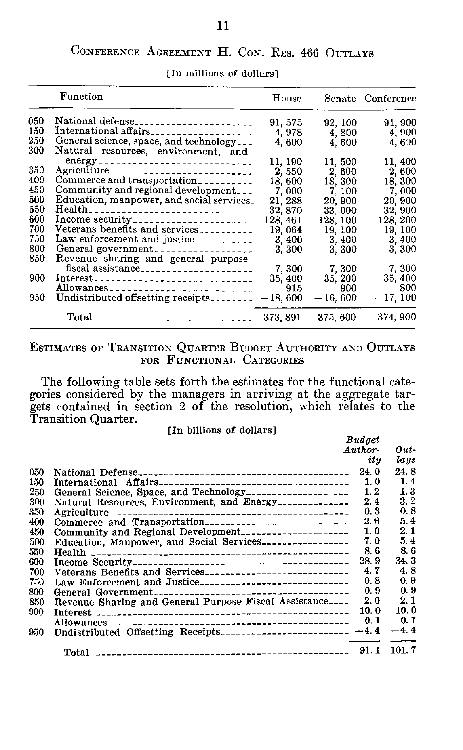|     | Function                                        | House     |            | Senate Conference |
|-----|-------------------------------------------------|-----------|------------|-------------------|
| 050 | National defense                                | 91, 575   | 92, 100    | 91, 900           |
| 150 | International affairs                           | 4,978     | 4,800      | 4 900             |
| 250 | General science, space, and technology          | 4.600     | 4,600      | 4,600             |
| 300 | Natural resources, environment, and             |           |            |                   |
|     | energy <sub>-----------------------------</sub> | 11, 190   | 11, 500    | 11, 400           |
| 350 | Agriculture_____________________________        | 2,550     | 2,600      | 2,600             |
| 400 | Commerce and transportation                     | 18.600    | 18.300     | 18, 300           |
| 450 | Community and regional development              | 7,000     | 7.100      | 7.000             |
| 500 | Education, manpower, and social services.       | 21, 288   | 20, 900    | 20, 900           |
| 550 | Health________________________________          | 32.870    | 33.000     | 32, 900           |
| 600 | Income security                                 | 128, 461  | 128, 100   | 128. 200          |
| 700 | Veterans benefits and services                  | 19, 064   | 19, 100    | 19, 100           |
| 750 | Law enforcement and justice                     | 3,400     | 3,400      | 3,400             |
| 800 | General government                              | 3.300     | 3, 300     | 3.300             |
| 850 | Revenue sharing and general purpose             |           |            |                   |
|     | fiscal assistance                               | 7,300     | 7,300      | 7,300             |
| 900 | Interest                                        | 35, 400   | 35, 200    | 35, 400           |
|     | Allowances                                      | 915       | 900        | 800               |
| 950 | Undistributed offsetting receipts               | $-18.600$ | $-16, 600$ | $-17, 100$        |
|     | Total_______________________________            | 373, 891  | 375, 600   | 374, 900          |
|     |                                                 |           |            |                   |

#### [In millions of dollars]

# ESTIMATES OF TRANSITION QUARTER BUDGET AUTHORITY **AND** OUTLAYS FOR FUNCTIONAL CATEGORIES

The following table sets forth the estimates for the functional categories considered by the managers in arriving at the aggregate tar-gets contained in section 2 of the resolution, which relates to the Transition Quarter. [In billions of dollars)

|  |  | [In billions of dollars] |  |
|--|--|--------------------------|--|
|  |  |                          |  |

|     |                                                            | <b>Budget</b> |        |
|-----|------------------------------------------------------------|---------------|--------|
|     |                                                            | Author-       | Out-   |
|     |                                                            | itu           | laus   |
| 050 |                                                            | 24.0          | 24.8   |
| 150 |                                                            | 1.0           | 1.4    |
| 250 | General Science, Space, and Technology____________________ | 1.2           | 1.3    |
| 300 | Natural Resources, Environment, and Energy                 | 2.4           | 3.2    |
| 350 |                                                            | 0.3           | 0.8    |
| 400 | Commerce and Transportation                                | 2.6           | 5.4    |
| 450 | Community and Regional Development                         | 1.0           | 2.1    |
| 500 | Education, Manpower, and Social Services                   | 7.0           | 5.4    |
| 550 |                                                            | 8.6           | 8.6    |
| 600 |                                                            | 28.9          | 34. 3  |
| 700 | Veterans Benefits and Services                             | 4.7           | 4.8    |
| 750 | Law Enforcement and Justice                                | 0.8           | 0.9    |
| 800 |                                                            | 0.9           | 0.9    |
| 850 | Revenue Sharing and General Purpose Fiscal Assistance      | 2.0           | 2.1    |
| 900 |                                                            | 10.0          | 10.0   |
|     |                                                            | 0.1           | 0.1    |
| 950 |                                                            |               | $-4.4$ |
|     |                                                            |               |        |
|     |                                                            |               | 101.7  |